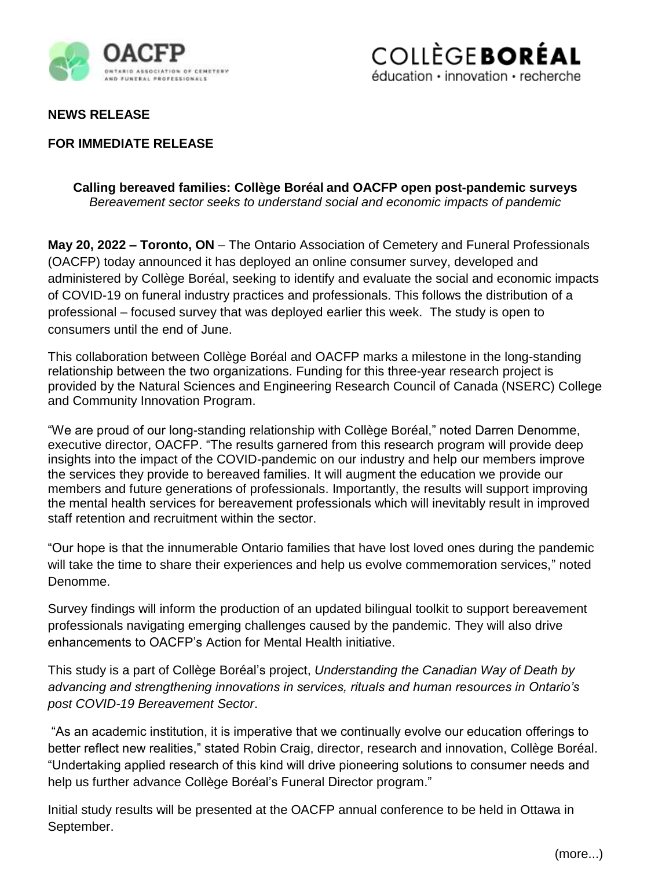



# **NEWS RELEASE**

# **FOR IMMEDIATE RELEASE**

### **Calling bereaved families: Collège Boréal and OACFP open post-pandemic surveys** *Bereavement sector seeks to understand social and economic impacts of pandemic*

**May 20, 2022 – Toronto, ON** – The Ontario Association of Cemetery and Funeral Professionals (OACFP) today announced it has deployed an online consumer survey, developed and administered by Collège Boréal, seeking to identify and evaluate the social and economic impacts of COVID-19 on funeral industry practices and professionals. This follows the distribution of a professional – focused survey that was deployed earlier this week. The study is open to consumers until the end of June.

This collaboration between Collège Boréal and OACFP marks a milestone in the long-standing relationship between the two organizations. Funding for this three-year research project is provided by the Natural Sciences and Engineering Research Council of Canada (NSERC) College and Community Innovation Program.

"We are proud of our long-standing relationship with Collège Boréal," noted Darren Denomme, executive director, OACFP. "The results garnered from this research program will provide deep insights into the impact of the COVID-pandemic on our industry and help our members improve the services they provide to bereaved families. It will augment the education we provide our members and future generations of professionals. Importantly, the results will support improving the mental health services for bereavement professionals which will inevitably result in improved staff retention and recruitment within the sector.

"Our hope is that the innumerable Ontario families that have lost loved ones during the pandemic will take the time to share their experiences and help us evolve commemoration services," noted Denomme.

Survey findings will inform the production of an updated bilingual toolkit to support bereavement professionals navigating emerging challenges caused by the pandemic. They will also drive enhancements to OACFP's Action for Mental Health initiative.

This study is a part of Collège Boréal's project, *Understanding the Canadian Way of Death by advancing and strengthening innovations in services, rituals and human resources in Ontario's post COVID-19 Bereavement Sector*.

"As an academic institution, it is imperative that we continually evolve our education offerings to better reflect new realities," stated Robin Craig, director, research and innovation, Collège Boréal. "Undertaking applied research of this kind will drive pioneering solutions to consumer needs and help us further advance Collège Boréal's Funeral Director program."

Initial study results will be presented at the OACFP annual conference to be held in Ottawa in September.